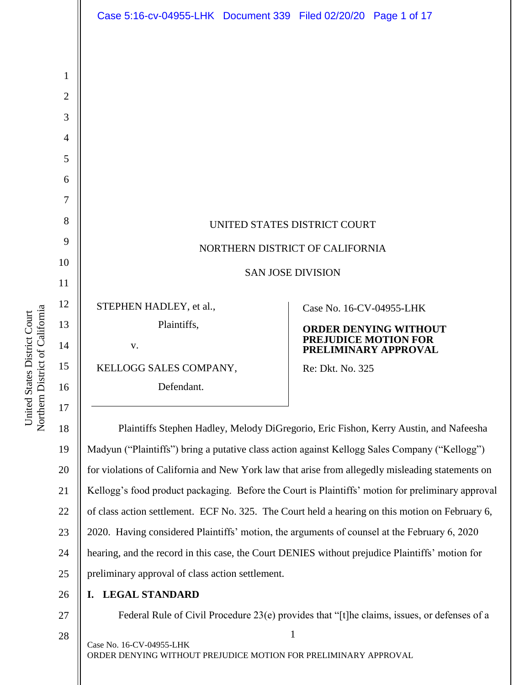|                | Case 5:16-cv-04955-LHK  Document 339  Filed 02/20/20  Page 1 of 17                                |                                 |                                                     |
|----------------|---------------------------------------------------------------------------------------------------|---------------------------------|-----------------------------------------------------|
|                |                                                                                                   |                                 |                                                     |
|                |                                                                                                   |                                 |                                                     |
| 1              |                                                                                                   |                                 |                                                     |
| $\overline{2}$ |                                                                                                   |                                 |                                                     |
| 3              |                                                                                                   |                                 |                                                     |
| $\overline{4}$ |                                                                                                   |                                 |                                                     |
| 5              |                                                                                                   |                                 |                                                     |
| 6              |                                                                                                   |                                 |                                                     |
| 7              |                                                                                                   |                                 |                                                     |
| 8              |                                                                                                   | UNITED STATES DISTRICT COURT    |                                                     |
| 9              |                                                                                                   | NORTHERN DISTRICT OF CALIFORNIA |                                                     |
| 10             |                                                                                                   | <b>SAN JOSE DIVISION</b>        |                                                     |
| 11             |                                                                                                   |                                 |                                                     |
| 12             | STEPHEN HADLEY, et al.,                                                                           | Case No. 16-CV-04955-LHK        |                                                     |
| 13             | Plaintiffs,                                                                                       |                                 | <b>ORDER DENYING WITHOUT</b>                        |
| 14             | V.                                                                                                |                                 | <b>PREJUDICE MOTION FOR</b><br>PRELIMINARY APPROVAL |
| 15             | KELLOGG SALES COMPANY,                                                                            | Re: Dkt. No. 325                |                                                     |
| 16             | Defendant.                                                                                        |                                 |                                                     |
| 17             |                                                                                                   |                                 |                                                     |
| 18             | Plaintiffs Stephen Hadley, Melody DiGregorio, Eric Fishon, Kerry Austin, and Nafeesha             |                                 |                                                     |
| 19             | Madyun ("Plaintiffs") bring a putative class action against Kellogg Sales Company ("Kellogg")     |                                 |                                                     |
| 20             | for violations of California and New York law that arise from allegedly misleading statements on  |                                 |                                                     |
| 21             | Kellogg's food product packaging. Before the Court is Plaintiffs' motion for preliminary approval |                                 |                                                     |
| 22             | of class action settlement. $FCEN_0$ 325. The Court held a hearing on this motion on February 6.  |                                 |                                                     |

21 22 23 24 25 nt. ECF No. 325. The Court held a hearing on this motion on February 6, 2020. Having considered Plaintiffs' motion, the arguments of counsel at the February 6, 2020 hearing, and the record in this case, the Court DENIES without prejudice Plaintiffs' motion for preliminary approval of class action settlement.

- 26 **I. LEGAL STANDARD**
- 27 28

United States District Court Northern District of California

Northern District of California United States District Court

Federal Rule of Civil Procedure 23(e) provides that "[t]he claims, issues, or defenses of a

1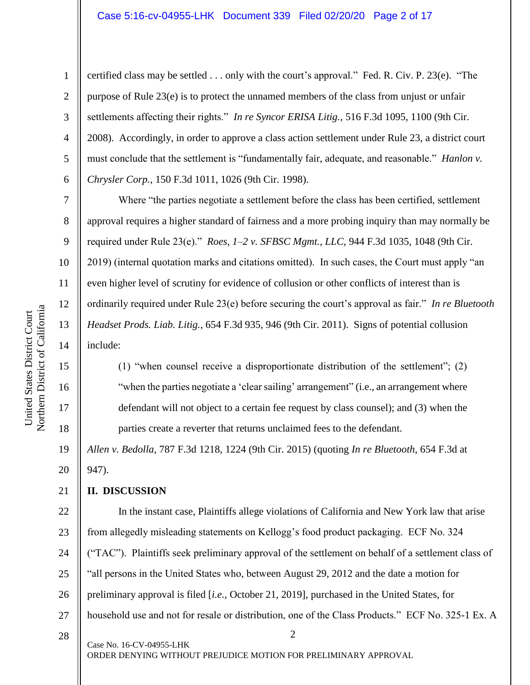certified class may be settled . . . only with the court's approval." Fed. R. Civ. P. 23(e). "The purpose of Rule 23(e) is to protect the unnamed members of the class from unjust or unfair settlements affecting their rights." *In re Syncor ERISA Litig.*, 516 F.3d 1095, 1100 (9th Cir. 2008). Accordingly, in order to approve a class action settlement under Rule 23, a district court must conclude that the settlement is "fundamentally fair, adequate, and reasonable." *Hanlon v. Chrysler Corp.*, 150 F.3d 1011, 1026 (9th Cir. 1998).

Where "the parties negotiate a settlement before the class has been certified, settlement approval requires a higher standard of fairness and a more probing inquiry than may normally be required under Rule 23(e)." *Roes, 1–2 v. SFBSC Mgmt., LLC*, 944 F.3d 1035, 1048 (9th Cir. 2019) (internal quotation marks and citations omitted). In such cases, the Court must apply "an even higher level of scrutiny for evidence of collusion or other conflicts of interest than is ordinarily required under Rule 23(e) before securing the court's approval as fair." *In re Bluetooth Headset Prods. Liab. Litig.*, 654 F.3d 935, 946 (9th Cir. 2011). Signs of potential collusion include:

(1) "when counsel receive a disproportionate distribution of the settlement"; (2) "when the parties negotiate a 'clear sailing' arrangement" (i.e., an arrangement where defendant will not object to a certain fee request by class counsel); and (3) when the parties create a reverter that returns unclaimed fees to the defendant.

19 20 *Allen v. Bedolla*, 787 F.3d 1218, 1224 (9th Cir. 2015) (quoting *In re Bluetooth*, 654 F.3d at 947).

#### 21 **II. DISCUSSION**

2 Case No. 16-CV-04955-LHK 22 23 24 25 26 27 28 In the instant case, Plaintiffs allege violations of California and New York law that arise from allegedly misleading statements on Kellogg's food product packaging. ECF No. 324 ("TAC"). Plaintiffs seek preliminary approval of the settlement on behalf of a settlement class of "all persons in the United States who, between August 29, 2012 and the date a motion for preliminary approval is filed [*i.e.*, October 21, 2019], purchased in the United States, for household use and not for resale or distribution, one of the Class Products." ECF No. 325-1 Ex. A

1

2

3

4

5

6

7

8

9

10

11

12

13

14

15

16

17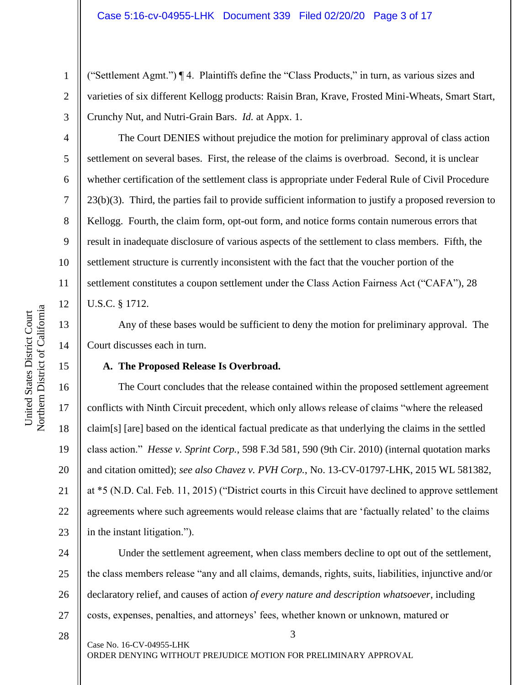("Settlement Agmt.") ¶ 4. Plaintiffs define the "Class Products," in turn, as various sizes and varieties of six different Kellogg products: Raisin Bran, Krave, Frosted Mini-Wheats, Smart Start, Crunchy Nut, and Nutri-Grain Bars. *Id.* at Appx. 1.

The Court DENIES without prejudice the motion for preliminary approval of class action settlement on several bases. First, the release of the claims is overbroad. Second, it is unclear whether certification of the settlement class is appropriate under Federal Rule of Civil Procedure 23(b)(3). Third, the parties fail to provide sufficient information to justify a proposed reversion to Kellogg. Fourth, the claim form, opt-out form, and notice forms contain numerous errors that result in inadequate disclosure of various aspects of the settlement to class members. Fifth, the settlement structure is currently inconsistent with the fact that the voucher portion of the settlement constitutes a coupon settlement under the Class Action Fairness Act ("CAFA"), 28 U.S.C. § 1712.

Any of these bases would be sufficient to deny the motion for preliminary approval. The Court discusses each in turn.

# **A. The Proposed Release Is Overbroad.**

16 20 22 23 The Court concludes that the release contained within the proposed settlement agreement conflicts with Ninth Circuit precedent, which only allows release of claims "where the released claim[s] [are] based on the identical factual predicate as that underlying the claims in the settled class action." *Hesse v. Sprint Corp.*, 598 F.3d 581, 590 (9th Cir. 2010) (internal quotation marks and citation omitted); *see also Chavez v. PVH Corp.*, No. 13-CV-01797-LHK, 2015 WL 581382, at \*5 (N.D. Cal. Feb. 11, 2015) ("District courts in this Circuit have declined to approve settlement agreements where such agreements would release claims that are 'factually related' to the claims in the instant litigation.").

24 25 26 27 Under the settlement agreement, when class members decline to opt out of the settlement, the class members release "any and all claims, demands, rights, suits, liabilities, injunctive and/or declaratory relief, and causes of action *of every nature and description whatsoever*, including costs, expenses, penalties, and attorneys' fees, whether known or unknown, matured or

3

28

Case No. 16-CV-04955-LHK

ORDER DENYING WITHOUT PREJUDICE MOTION FOR PRELIMINARY APPROVAL

1

2

3

4

5

6

7

8

9

10

11

12

13

14

15

17

18

19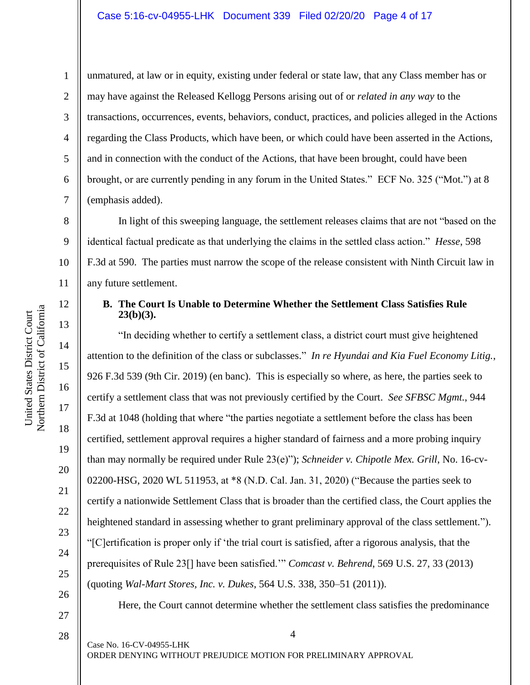11

12

13

14

15

16

17

18

1

unmatured, at law or in equity, existing under federal or state law, that any Class member has or may have against the Released Kellogg Persons arising out of or *related in any way* to the transactions, occurrences, events, behaviors, conduct, practices, and policies alleged in the Actions regarding the Class Products, which have been, or which could have been asserted in the Actions, and in connection with the conduct of the Actions, that have been brought, could have been brought, or are currently pending in any forum in the United States." ECF No. 325 ("Mot.") at 8 (emphasis added).

In light of this sweeping language, the settlement releases claims that are not "based on the identical factual predicate as that underlying the claims in the settled class action." *Hesse*, 598 F.3d at 590.The parties must narrow the scope of the release consistent with Ninth Circuit law in any future settlement.

### **B. The Court Is Unable to Determine Whether the Settlement Class Satisfies Rule 23(b)(3).**

"In deciding whether to certify a settlement class, a district court must give heightened attention to the definition of the class or subclasses." *In re Hyundai and Kia Fuel Economy Litig.*, 926 F.3d 539 (9th Cir. 2019) (en banc). This is especially so where, as here, the parties seek to certify a settlement class that was not previously certified by the Court. *See SFBSC Mgmt.*, 944 F.3d at 1048 (holding that where "the parties negotiate a settlement before the class has been certified, settlement approval requires a higher standard of fairness and a more probing inquiry than may normally be required under Rule 23(e)"); *Schneider v. Chipotle Mex. Grill*, No. 16-cv-02200-HSG, 2020 WL 511953, at \*8 (N.D. Cal. Jan. 31, 2020) ("Because the parties seek to certify a nationwide Settlement Class that is broader than the certified class, the Court applies the heightened standard in assessing whether to grant preliminary approval of the class settlement."). "[C]ertification is proper only if 'the trial court is satisfied, after a rigorous analysis, that the prerequisites of Rule 23[] have been satisfied.'" *Comcast v. Behrend*, 569 U.S. 27, 33 (2013) (quoting *Wal-Mart Stores, Inc. v. Dukes*, 564 U.S. 338, 350–51 (2011)).

Here, the Court cannot determine whether the settlement class satisfies the predominance

28

27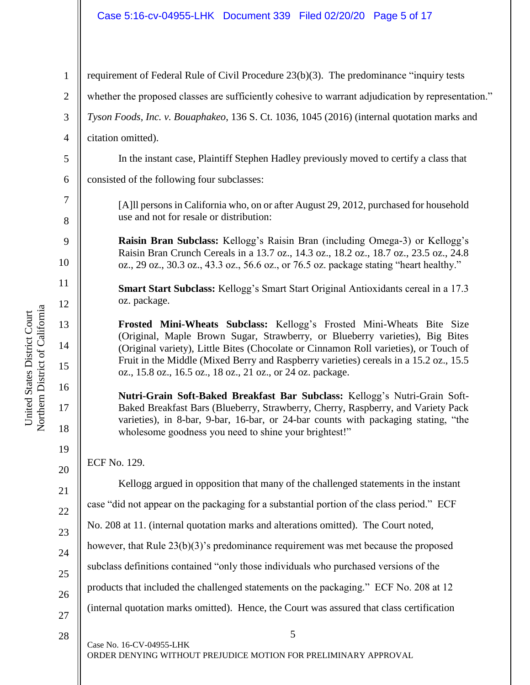# Case 5:16-cv-04955-LHK Document 339 Filed 02/20/20 Page 5 of 17

| $\mathbf{1}$          | requirement of Federal Rule of Civil Procedure 23(b)(3). The predominance "inquiry tests                                                                                                                                                                                                                      |
|-----------------------|---------------------------------------------------------------------------------------------------------------------------------------------------------------------------------------------------------------------------------------------------------------------------------------------------------------|
| $\overline{2}$        | whether the proposed classes are sufficiently cohesive to warrant adjudication by representation."                                                                                                                                                                                                            |
| $\mathfrak{Z}$        | Tyson Foods, Inc. v. Bouaphakeo, 136 S. Ct. 1036, 1045 (2016) (internal quotation marks and                                                                                                                                                                                                                   |
| $\overline{4}$        | citation omitted).                                                                                                                                                                                                                                                                                            |
| $\sqrt{5}$            | In the instant case, Plaintiff Stephen Hadley previously moved to certify a class that                                                                                                                                                                                                                        |
| 6                     | consisted of the following four subclasses:                                                                                                                                                                                                                                                                   |
| $\boldsymbol{7}$<br>8 | [A]ll persons in California who, on or after August 29, 2012, purchased for household<br>use and not for resale or distribution:                                                                                                                                                                              |
| 9<br>10               | Raisin Bran Subclass: Kellogg's Raisin Bran (including Omega-3) or Kellogg's<br>Raisin Bran Crunch Cereals in a 13.7 oz., 14.3 oz., 18.2 oz., 18.7 oz., 23.5 oz., 24.8<br>oz., 29 oz., 30.3 oz., 43.3 oz., 56.6 oz., or 76.5 oz. package stating "heart healthy."                                             |
| 11<br>12              | Smart Start Subclass: Kellogg's Smart Start Original Antioxidants cereal in a 17.3<br>oz. package.                                                                                                                                                                                                            |
| 13<br>14              | Frosted Mini-Wheats Subclass: Kellogg's Frosted Mini-Wheats Bite Size<br>(Original, Maple Brown Sugar, Strawberry, or Blueberry varieties), Big Bites<br>(Original variety), Little Bites (Chocolate or Cinnamon Roll varieties), or Touch of                                                                 |
| 15                    | Fruit in the Middle (Mixed Berry and Raspberry varieties) cereals in a 15.2 oz., 15.5<br>oz., 15.8 oz., 16.5 oz., 18 oz., 21 oz., or 24 oz. package.                                                                                                                                                          |
| 16<br>17<br>18        | Nutri-Grain Soft-Baked Breakfast Bar Subclass: Kellogg's Nutri-Grain Soft-<br>Baked Breakfast Bars (Blueberry, Strawberry, Cherry, Raspberry, and Variety Pack<br>varieties), in 8-bar, 9-bar, 16-bar, or 24-bar counts with packaging stating, "the<br>wholesome goodness you need to shine your brightest!" |
| 19                    | ECF No. 129.                                                                                                                                                                                                                                                                                                  |
| 20                    | Kellogg argued in opposition that many of the challenged statements in the instant                                                                                                                                                                                                                            |
| 21                    | case "did not appear on the packaging for a substantial portion of the class period." ECF                                                                                                                                                                                                                     |
| 22                    | No. 208 at 11. (internal quotation marks and alterations omitted). The Court noted,                                                                                                                                                                                                                           |
| 23                    | however, that Rule $23(b)(3)$ 's predominance requirement was met because the proposed                                                                                                                                                                                                                        |
| 24<br>25              | subclass definitions contained "only those individuals who purchased versions of the                                                                                                                                                                                                                          |
| 26                    | products that included the challenged statements on the packaging." ECF No. 208 at 12                                                                                                                                                                                                                         |
| 27                    | (internal quotation marks omitted). Hence, the Court was assured that class certification                                                                                                                                                                                                                     |
| 28                    | 5                                                                                                                                                                                                                                                                                                             |
|                       | Case No. 16-CV-04955-LHK<br>ORDER DENYING WITHOUT PREJUDICE MOTION FOR PRELIMINARY APPROVAL                                                                                                                                                                                                                   |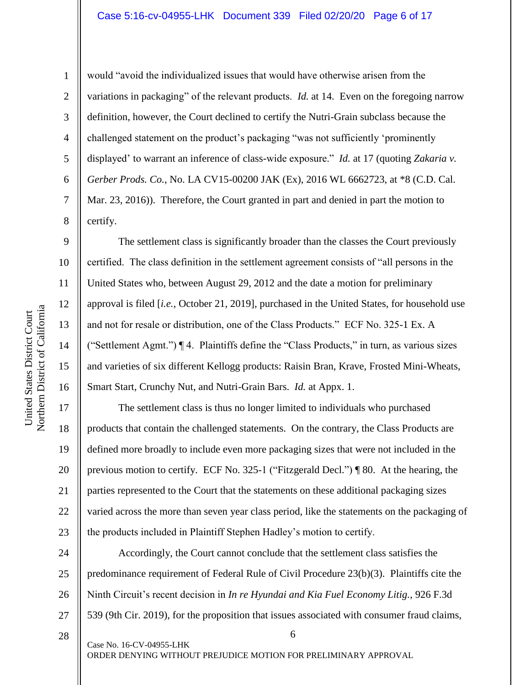would "avoid the individualized issues that would have otherwise arisen from the variations in packaging" of the relevant products. *Id.* at 14. Even on the foregoing narrow definition, however, the Court declined to certify the Nutri-Grain subclass because the challenged statement on the product's packaging "was not sufficiently 'prominently displayed' to warrant an inference of class-wide exposure." *Id.* at 17 (quoting *Zakaria v. Gerber Prods. Co.*, No. LA CV15-00200 JAK (Ex), 2016 WL 6662723, at \*8 (C.D. Cal. Mar. 23, 2016)). Therefore, the Court granted in part and denied in part the motion to certify.

The settlement class is significantly broader than the classes the Court previously certified. The class definition in the settlement agreement consists of "all persons in the United States who, between August 29, 2012 and the date a motion for preliminary approval is filed [*i.e.*, October 21, 2019], purchased in the United States, for household use and not for resale or distribution, one of the Class Products." ECF No. 325-1 Ex. A ("Settlement Agmt.") ¶ 4. Plaintiffs define the "Class Products," in turn, as various sizes and varieties of six different Kellogg products: Raisin Bran, Krave, Frosted Mini-Wheats, Smart Start, Crunchy Nut, and Nutri-Grain Bars. *Id.* at Appx. 1.

The settlement class is thus no longer limited to individuals who purchased products that contain the challenged statements. On the contrary, the Class Products are defined more broadly to include even more packaging sizes that were not included in the previous motion to certify. ECF No. 325-1 ("Fitzgerald Decl.") ¶ 80. At the hearing, the parties represented to the Court that the statements on these additional packaging sizes varied across the more than seven year class period, like the statements on the packaging of the products included in Plaintiff Stephen Hadley's motion to certify.

24 25 26 27 Accordingly, the Court cannot conclude that the settlement class satisfies the predominance requirement of Federal Rule of Civil Procedure 23(b)(3). Plaintiffs cite the Ninth Circuit's recent decision in *In re Hyundai and Kia Fuel Economy Litig.*, 926 F.3d 539 (9th Cir. 2019), for the proposition that issues associated with consumer fraud claims,

6

1

2

3

4

5

6

7

8

9

10

11

12

13

14

15

16

17

18

19

20

21

22

23

28

Case No. 16-CV-04955-LHK

ORDER DENYING WITHOUT PREJUDICE MOTION FOR PRELIMINARY APPROVAL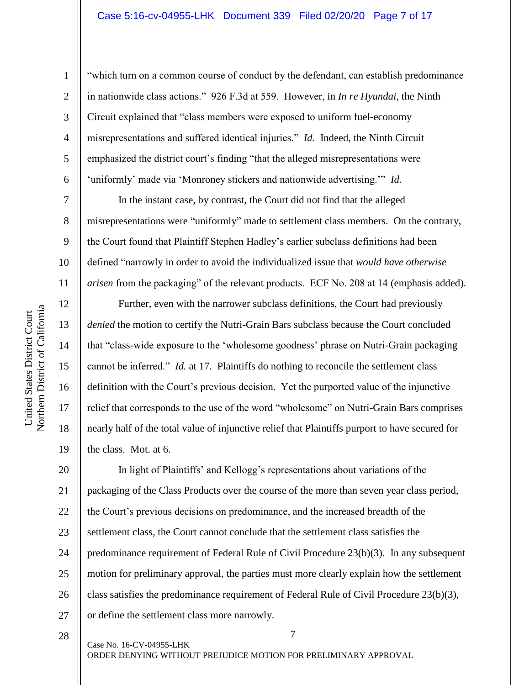#### Case 5:16-cv-04955-LHK Document 339 Filed 02/20/20 Page 7 of 17

"which turn on a common course of conduct by the defendant, can establish predominance in nationwide class actions." 926 F.3d at 559. However, in *In re Hyundai*, the Ninth Circuit explained that "class members were exposed to uniform fuel-economy misrepresentations and suffered identical injuries." *Id.* Indeed, the Ninth Circuit emphasized the district court's finding "that the alleged misrepresentations were 'uniformly' made via 'Monroney stickers and nationwide advertising.'" *Id.*

In the instant case, by contrast, the Court did not find that the alleged misrepresentations were "uniformly" made to settlement class members. On the contrary, the Court found that Plaintiff Stephen Hadley's earlier subclass definitions had been defined "narrowly in order to avoid the individualized issue that *would have otherwise arisen* from the packaging" of the relevant products. ECF No. 208 at 14 (emphasis added).

Further, even with the narrower subclass definitions, the Court had previously *denied* the motion to certify the Nutri-Grain Bars subclass because the Court concluded that "class-wide exposure to the 'wholesome goodness' phrase on Nutri-Grain packaging cannot be inferred." *Id.* at 17. Plaintiffs do nothing to reconcile the settlement class definition with the Court's previous decision. Yet the purported value of the injunctive relief that corresponds to the use of the word "wholesome" on Nutri-Grain Bars comprises nearly half of the total value of injunctive relief that Plaintiffs purport to have secured for the class. Mot. at 6.

20 21 22 23 24 25 26 27 In light of Plaintiffs' and Kellogg's representations about variations of the packaging of the Class Products over the course of the more than seven year class period, the Court's previous decisions on predominance, and the increased breadth of the settlement class, the Court cannot conclude that the settlement class satisfies the predominance requirement of Federal Rule of Civil Procedure 23(b)(3). In any subsequent motion for preliminary approval, the parties must more clearly explain how the settlement class satisfies the predominance requirement of Federal Rule of Civil Procedure 23(b)(3), or define the settlement class more narrowly.

28

Northern District of California Northern District of California United States District Court United States District Court

1

2

3

4

5

6

7

8

9

10

11

12

13

14

15

16

17

18

19

Case No. 16-CV-04955-LHK ORDER DENYING WITHOUT PREJUDICE MOTION FOR PRELIMINARY APPROVAL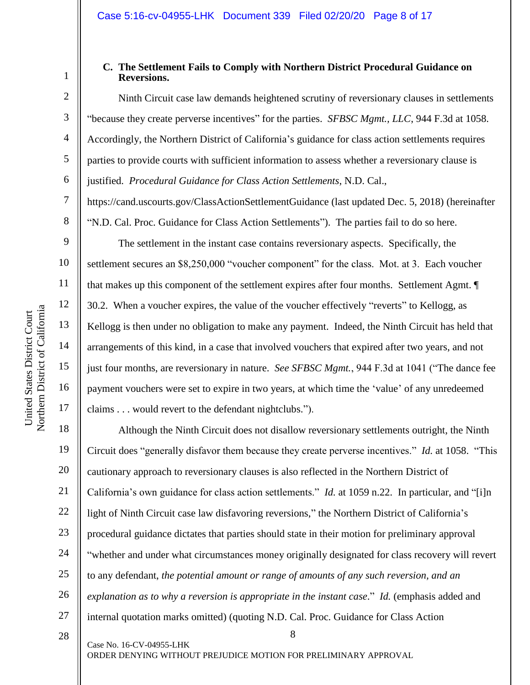5

6

7

8

9

10

11

12

13

14

15

16

17

#### **C. The Settlement Fails to Comply with Northern District Procedural Guidance on Reversions.**

Ninth Circuit case law demands heightened scrutiny of reversionary clauses in settlements "because they create perverse incentives" for the parties. *SFBSC Mgmt., LLC*, 944 F.3d at 1058. Accordingly, the Northern District of California's guidance for class action settlements requires parties to provide courts with sufficient information to assess whether a reversionary clause is justified. *Procedural Guidance for Class Action Settlements*, N.D. Cal.,

https://cand.uscourts.gov/ClassActionSettlementGuidance (last updated Dec. 5, 2018) (hereinafter "N.D. Cal. Proc. Guidance for Class Action Settlements"). The parties fail to do so here.

The settlement in the instant case contains reversionary aspects. Specifically, the settlement secures an \$8,250,000 "voucher component" for the class. Mot. at 3. Each voucher that makes up this component of the settlement expires after four months. Settlement Agmt. ¶ 30.2. When a voucher expires, the value of the voucher effectively "reverts" to Kellogg, as Kellogg is then under no obligation to make any payment. Indeed, the Ninth Circuit has held that arrangements of this kind, in a case that involved vouchers that expired after two years, and not just four months, are reversionary in nature. *See SFBSC Mgmt.*, 944 F.3d at 1041 ("The dance fee payment vouchers were set to expire in two years, at which time the 'value' of any unredeemed claims . . . would revert to the defendant nightclubs.").

8 18 19 20 21 22 23 24 25 26 27 Although the Ninth Circuit does not disallow reversionary settlements outright, the Ninth Circuit does "generally disfavor them because they create perverse incentives." *Id.* at 1058. "This cautionary approach to reversionary clauses is also reflected in the Northern District of California's own guidance for class action settlements." *Id.* at 1059 n.22. In particular, and "[i]n light of Ninth Circuit case law disfavoring reversions," the Northern District of California's procedural guidance dictates that parties should state in their motion for preliminary approval "whether and under what circumstances money originally designated for class recovery will revert to any defendant, *the potential amount or range of amounts of any such reversion, and an explanation as to why a reversion is appropriate in the instant case*." *Id.* (emphasis added and internal quotation marks omitted) (quoting N.D. Cal. Proc. Guidance for Class Action

28

Case No. 16-CV-04955-LHK

ORDER DENYING WITHOUT PREJUDICE MOTION FOR PRELIMINARY APPROVAL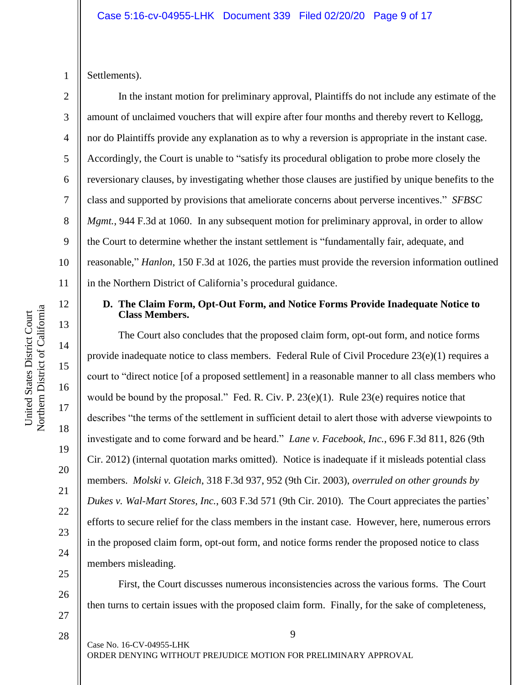Settlements).

1

2 3 4 5 6 7 8 9 10 11 In the instant motion for preliminary approval, Plaintiffs do not include any estimate of the amount of unclaimed vouchers that will expire after four months and thereby revert to Kellogg, nor do Plaintiffs provide any explanation as to why a reversion is appropriate in the instant case. Accordingly, the Court is unable to "satisfy its procedural obligation to probe more closely the reversionary clauses, by investigating whether those clauses are justified by unique benefits to the class and supported by provisions that ameliorate concerns about perverse incentives." *SFBSC Mgmt.*, 944 F.3d at 1060. In any subsequent motion for preliminary approval, in order to allow the Court to determine whether the instant settlement is "fundamentally fair, adequate, and reasonable," *Hanlon*, 150 F.3d at 1026, the parties must provide the reversion information outlined in the Northern District of California's procedural guidance.

#### **D. The Claim Form, Opt-Out Form, and Notice Forms Provide Inadequate Notice to Class Members.**

The Court also concludes that the proposed claim form, opt-out form, and notice forms provide inadequate notice to class members. Federal Rule of Civil Procedure 23(e)(1) requires a court to "direct notice [of a proposed settlement] in a reasonable manner to all class members who would be bound by the proposal." Fed. R. Civ. P. 23(e)(1). Rule 23(e) requires notice that describes "the terms of the settlement in sufficient detail to alert those with adverse viewpoints to investigate and to come forward and be heard." *Lane v. Facebook, Inc.*, 696 F.3d 811, 826 (9th Cir. 2012) (internal quotation marks omitted). Notice is inadequate if it misleads potential class members. *Molski v. Gleich*, 318 F.3d 937, 952 (9th Cir. 2003), *overruled on other grounds by Dukes v. Wal-Mart Stores, Inc.*, 603 F.3d 571 (9th Cir. 2010). The Court appreciates the parties' efforts to secure relief for the class members in the instant case. However, here, numerous errors in the proposed claim form, opt-out form, and notice forms render the proposed notice to class members misleading.

First, the Court discusses numerous inconsistencies across the various forms. The Court then turns to certain issues with the proposed claim form. Finally, for the sake of completeness,

9 Case No. 16-CV-04955-LHK ORDER DENYING WITHOUT PREJUDICE MOTION FOR PRELIMINARY APPROVAL

12

13

14

15

16

17

18

19

20

21

22

23

24

25

26

27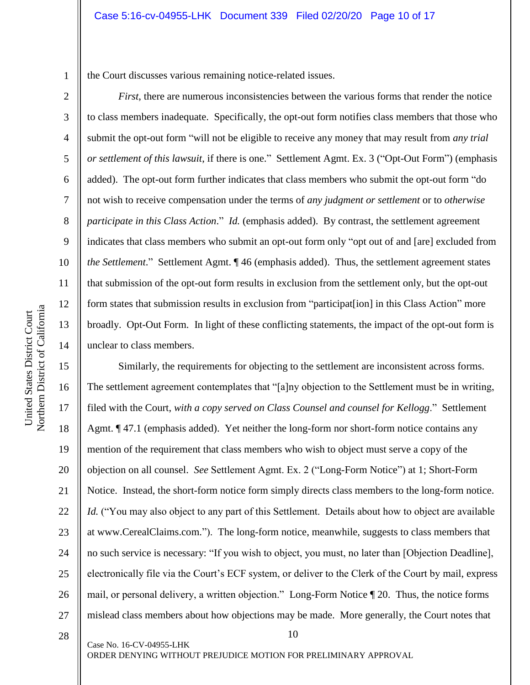the Court discusses various remaining notice-related issues.

*First*, there are numerous inconsistencies between the various forms that render the notice to class members inadequate. Specifically, the opt-out form notifies class members that those who submit the opt-out form "will not be eligible to receive any money that may result from *any trial or settlement of this lawsuit*, if there is one." Settlement Agmt. Ex. 3 ("Opt-Out Form") (emphasis added). The opt-out form further indicates that class members who submit the opt-out form "do not wish to receive compensation under the terms of *any judgment or settlement* or to *otherwise participate in this Class Action.*" *Id.* (emphasis added). By contrast, the settlement agreement indicates that class members who submit an opt-out form only "opt out of and [are] excluded from *the Settlement*." Settlement Agmt. ¶ 46 (emphasis added). Thus, the settlement agreement states that submission of the opt-out form results in exclusion from the settlement only, but the opt-out form states that submission results in exclusion from "participat[ion] in this Class Action" more broadly. Opt-Out Form. In light of these conflicting statements, the impact of the opt-out form is unclear to class members.

15 16 17 18 19 20 21 22 23 24 25 26 27 Similarly, the requirements for objecting to the settlement are inconsistent across forms. The settlement agreement contemplates that "[a]ny objection to the Settlement must be in writing, filed with the Court, *with a copy served on Class Counsel and counsel for Kellogg*." Settlement Agmt. ¶ 47.1 (emphasis added). Yet neither the long-form nor short-form notice contains any mention of the requirement that class members who wish to object must serve a copy of the objection on all counsel. *See* Settlement Agmt. Ex. 2 ("Long-Form Notice") at 1; Short-Form Notice. Instead, the short-form notice form simply directs class members to the long-form notice. *Id.* ("You may also object to any part of this Settlement. Details about how to object are available at www.CerealClaims.com.").The long-form notice, meanwhile, suggests to class members that no such service is necessary: "If you wish to object, you must, no later than [Objection Deadline], electronically file via the Court's ECF system, or deliver to the Clerk of the Court by mail, express mail, or personal delivery, a written objection." Long-Form Notice ¶ 20. Thus, the notice forms mislead class members about how objections may be made. More generally, the Court notes that

10

28

Case No. 16-CV-04955-LHK

ORDER DENYING WITHOUT PREJUDICE MOTION FOR PRELIMINARY APPROVAL

1

2

3

4

5

6

7

8

9

10

11

12

13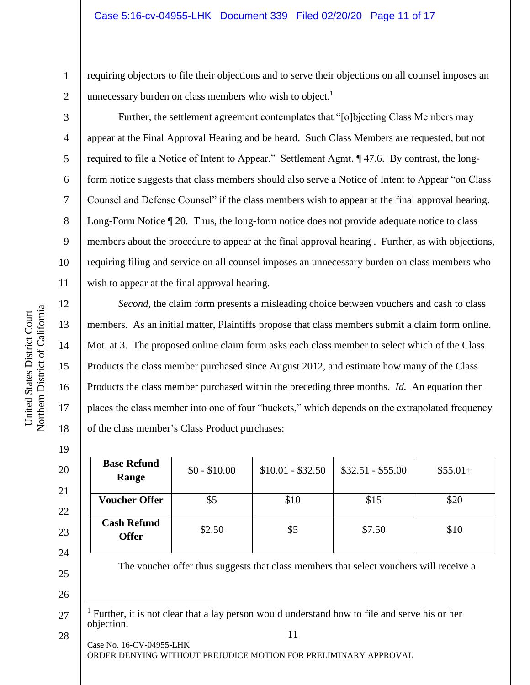requiring objectors to file their objections and to serve their objections on all counsel imposes an unnecessary burden on class members who wish to object.<sup>1</sup>

Further, the settlement agreement contemplates that "[o]bjecting Class Members may appear at the Final Approval Hearing and be heard. Such Class Members are requested, but not required to file a Notice of Intent to Appear." Settlement Agmt. ¶ 47.6. By contrast, the longform notice suggests that class members should also serve a Notice of Intent to Appear "on Class Counsel and Defense Counsel" if the class members wish to appear at the final approval hearing. Long-Form Notice ¶ 20. Thus, the long-form notice does not provide adequate notice to class members about the procedure to appear at the final approval hearing . Further, as with objections, requiring filing and service on all counsel imposes an unnecessary burden on class members who wish to appear at the final approval hearing.

*Second*, the claim form presents a misleading choice between vouchers and cash to class members. As an initial matter, Plaintiffs propose that class members submit a claim form online. Mot. at 3. The proposed online claim form asks each class member to select which of the Class Products the class member purchased since August 2012, and estimate how many of the Class Products the class member purchased within the preceding three months. *Id.* An equation then places the class member into one of four "buckets," which depends on the extrapolated frequency of the class member's Class Product purchases:

| <b>Base Refund</b><br>Range        | $$0 - $10.00$ | $$10.01 - $32.50$ | $$32.51 - $55.00$ | $$55.01+$ |
|------------------------------------|---------------|-------------------|-------------------|-----------|
| <b>Voucher Offer</b>               | \$5           | \$10              | \$15              | \$20      |
| <b>Cash Refund</b><br><b>Offer</b> | \$2.50        | \$5               | \$7.50            | \$10      |

The voucher offer thus suggests that class members that select vouchers will receive a

Case No. 16-CV-04955-LHK ORDER DENYING WITHOUT PREJUDICE MOTION FOR PRELIMINARY APPROVAL

1

2

3

4

5

6

7

8

9

10

11

12

13

14

15

16

17

18

19

20

21

22

23

24

25

26

 $\overline{a}$ 

<sup>11</sup> 27 <sup>1</sup> Further, it is not clear that a lay person would understand how to file and serve his or her objection.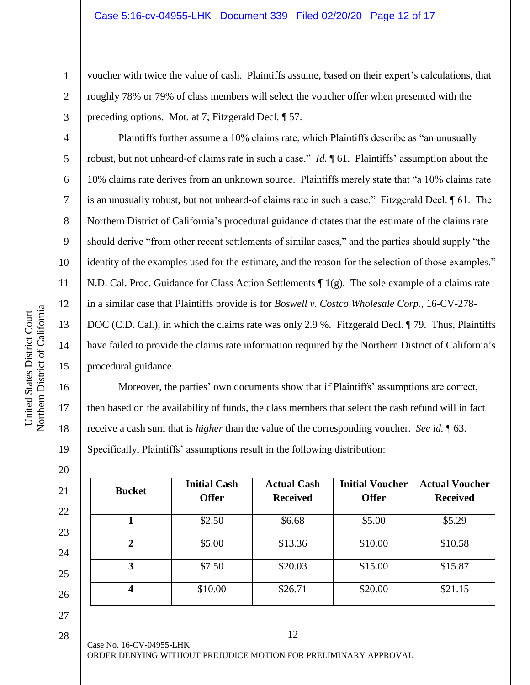voucher with twice the value of cash. Plaintiffs assume, based on their expert's calculations, that roughly 78% or 79% of class members will select the voucher offer when presented with the preceding options. Mot. at 7; Fitzgerald Decl. ¶ 57.

Plaintiffs further assume a 10% claims rate, which Plaintiffs describe as "an unusually robust, but not unheard-of claims rate in such a case." *Id.* ¶ 61. Plaintiffs' assumption about the 10% claims rate derives from an unknown source. Plaintiffs merely state that "a 10% claims rate is an unusually robust, but not unheard-of claims rate in such a case." Fitzgerald Decl. ¶ 61. The Northern District of California's procedural guidance dictates that the estimate of the claims rate should derive "from other recent settlements of similar cases," and the parties should supply "the identity of the examples used for the estimate, and the reason for the selection of those examples." N.D. Cal. Proc. Guidance for Class Action Settlements ¶ 1(g). The sole example of a claims rate in a similar case that Plaintiffs provide is for *Boswell v. Costco Wholesale Corp.*, 16-CV-278- DOC (C.D. Cal.), in which the claims rate was only 2.9 %. Fitzgerald Decl. ¶ 79. Thus, Plaintiffs have failed to provide the claims rate information required by the Northern District of California's procedural guidance.

Moreover, the parties' own documents show that if Plaintiffs' assumptions are correct, then based on the availability of funds, the class members that select the cash refund will in fact receive a cash sum that is *higher* than the value of the corresponding voucher. *See id.* ¶ 63. Specifically, Plaintiffs' assumptions result in the following distribution:

| \$2.50  | \$6.68  | \$5.00  | \$5.29  |
|---------|---------|---------|---------|
|         |         |         |         |
| \$5.00  | \$13.36 | \$10.00 | \$10.58 |
| \$7.50  | \$20.03 | \$15.00 | \$15.87 |
| \$10.00 | \$26.71 | \$20.00 | \$21.15 |
|         |         |         |         |

28

1

2

3

4

5

6

7

8

9

10

11

12

13

14

15

16

17

18

19

20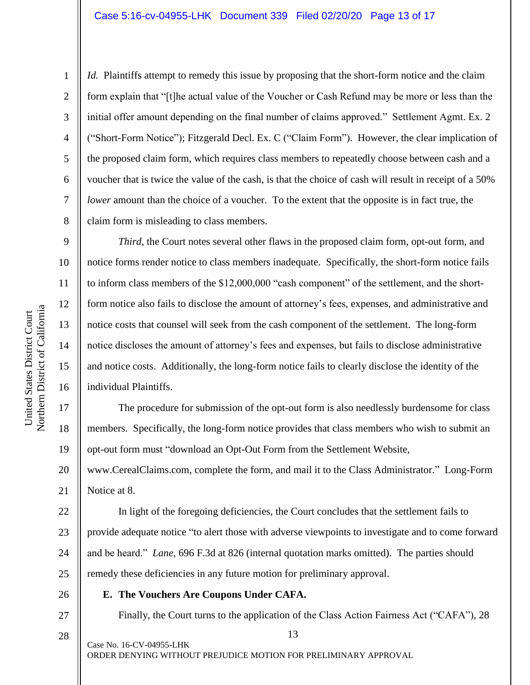*Id.* Plaintiffs attempt to remedy this issue by proposing that the short-form notice and the claim form explain that "[t]he actual value of the Voucher or Cash Refund may be more or less than the initial offer amount depending on the final number of claims approved." Settlement Agmt. Ex. 2 ("Short-Form Notice"); Fitzgerald Decl. Ex. C ("Claim Form"). However, the clear implication of the proposed claim form, which requires class members to repeatedly choose between cash and a voucher that is twice the value of the cash, is that the choice of cash will result in receipt of a 50% *lower* amount than the choice of a voucher. To the extent that the opposite is in fact true, the claim form is misleading to class members.

*Third*, the Court notes several other flaws in the proposed claim form, opt-out form, and notice forms render notice to class members inadequate. Specifically, the short-form notice fails to inform class members of the \$12,000,000 "cash component" of the settlement, and the shortform notice also fails to disclose the amount of attorney's fees, expenses, and administrative and notice costs that counsel will seek from the cash component of the settlement. The long-form notice discloses the amount of attorney's fees and expenses, but fails to disclose administrative and notice costs. Additionally, the long-form notice fails to clearly disclose the identity of the individual Plaintiffs.

20 The procedure for submission of the opt-out form is also needlessly burdensome for class members. Specifically, the long-form notice provides that class members who wish to submit an opt-out form must "download an Opt-Out Form from the Settlement Website,

www.CerealClaims.com, complete the form, and mail it to the Class Administrator." Long-Form Notice at 8.

22 23 24 25 In light of the foregoing deficiencies, the Court concludes that the settlement fails to provide adequate notice "to alert those with adverse viewpoints to investigate and to come forward and be heard." *Lane*, 696 F.3d at 826 (internal quotation marks omitted). The parties should remedy these deficiencies in any future motion for preliminary approval.

26

27

28

**E. The Vouchers Are Coupons Under CAFA.** 

Finally, the Court turns to the application of the Class Action Fairness Act ("CAFA"), 28

13

Case No. 16-CV-04955-LHK ORDER DENYING WITHOUT PREJUDICE MOTION FOR PRELIMINARY APPROVAL

1

2

3

4

5

6

7

8

9

10

11

12

13

14

15

16

17

18

19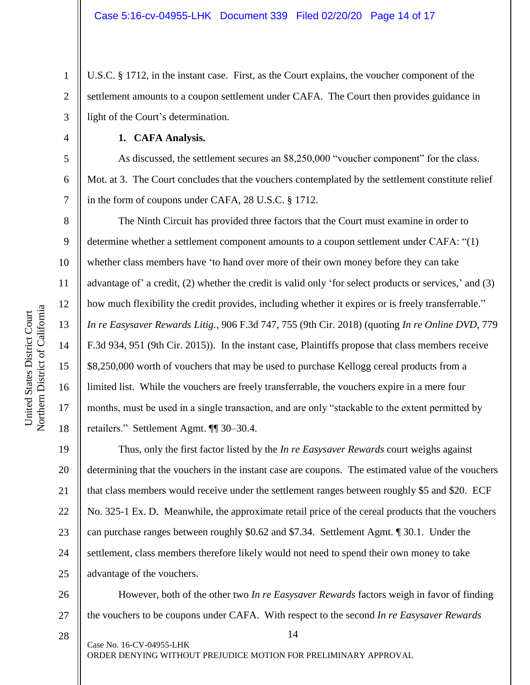U.S.C. § 1712, in the instant case. First, as the Court explains, the voucher component of the settlement amounts to a coupon settlement under CAFA. The Court then provides guidance in light of the Court's determination.

**1. CAFA Analysis.**

As discussed, the settlement secures an \$8,250,000 "voucher component" for the class. Mot. at 3. The Court concludes that the vouchers contemplated by the settlement constitute relief in the form of coupons under CAFA, 28 U.S.C. § 1712.

The Ninth Circuit has provided three factors that the Court must examine in order to determine whether a settlement component amounts to a coupon settlement under CAFA: "(1) whether class members have 'to hand over more of their own money before they can take advantage of' a credit, (2) whether the credit is valid only 'for select products or services,' and (3) how much flexibility the credit provides, including whether it expires or is freely transferrable." *In re Easysaver Rewards Litig.*, 906 F.3d 747, 755 (9th Cir. 2018) (quoting *In re Online DVD*, 779 F.3d 934, 951 (9th Cir. 2015)). In the instant case, Plaintiffs propose that class members receive \$8,250,000 worth of vouchers that may be used to purchase Kellogg cereal products from a limited list. While the vouchers are freely transferrable, the vouchers expire in a mere four months, must be used in a single transaction, and are only "stackable to the extent permitted by retailers." Settlement Agmt. ¶¶ 30–30.4.

19 20 21 22 23 24 25 Thus, only the first factor listed by the *In re Easysaver Rewards* court weighs against determining that the vouchers in the instant case are coupons. The estimated value of the vouchers that class members would receive under the settlement ranges between roughly \$5 and \$20. ECF No. 325-1 Ex. D. Meanwhile, the approximate retail price of the cereal products that the vouchers can purchase ranges between roughly \$0.62 and \$7.34. Settlement Agmt. ¶ 30.1. Under the settlement, class members therefore likely would not need to spend their own money to take advantage of the vouchers.

26 27 However, both of the other two *In re Easysaver Rewards* factors weigh in favor of finding the vouchers to be coupons under CAFA. With respect to the second *In re Easysaver Rewards* 

14

28

1

2

3

4

5

6

7

8

9

10

11

12

13

14

15

16

17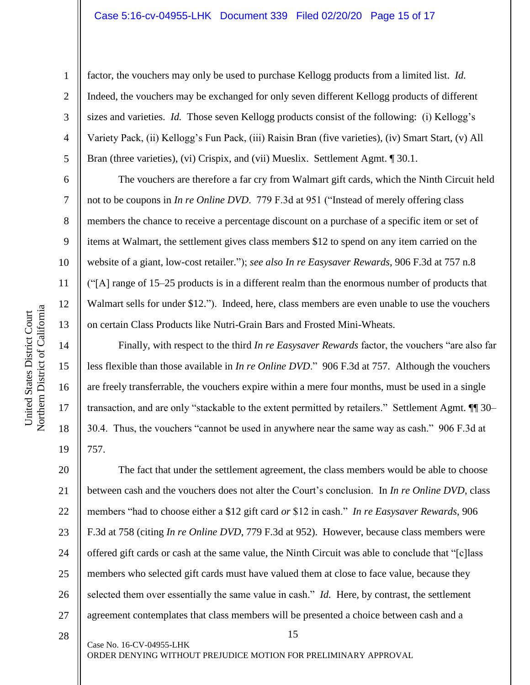#### Case 5:16-cv-04955-LHK Document 339 Filed 02/20/20 Page 15 of 17

1

2

3

4

5

6

7

8

9

10

11

12

13

14

15

16

17

18

19

factor, the vouchers may only be used to purchase Kellogg products from a limited list. *Id.*  Indeed, the vouchers may be exchanged for only seven different Kellogg products of different sizes and varieties. *Id.* Those seven Kellogg products consist of the following: (i) Kellogg's Variety Pack, (ii) Kellogg's Fun Pack, (iii) Raisin Bran (five varieties), (iv) Smart Start, (v) All Bran (three varieties), (vi) Crispix, and (vii) Mueslix. Settlement Agmt. 1 30.1.

The vouchers are therefore a far cry from Walmart gift cards, which the Ninth Circuit held not to be coupons in *In re Online DVD*. 779 F.3d at 951 ("Instead of merely offering class members the chance to receive a percentage discount on a purchase of a specific item or set of items at Walmart, the settlement gives class members \$12 to spend on any item carried on the website of a giant, low-cost retailer."); *see also In re Easysaver Rewards*, 906 F.3d at 757 n.8 ("[A] range of 15–25 products is in a different realm than the enormous number of products that Walmart sells for under \$12."). Indeed, here, class members are even unable to use the vouchers on certain Class Products like Nutri-Grain Bars and Frosted Mini-Wheats.

Finally, with respect to the third *In re Easysaver Rewards* factor, the vouchers "are also far less flexible than those available in *In re Online DVD*." 906 F.3d at 757. Although the vouchers are freely transferrable, the vouchers expire within a mere four months, must be used in a single transaction, and are only "stackable to the extent permitted by retailers." Settlement Agmt. ¶¶ 30– 30.4. Thus, the vouchers "cannot be used in anywhere near the same way as cash." 906 F.3d at 757.

20 21 22 23 24 25 26 27 The fact that under the settlement agreement, the class members would be able to choose between cash and the vouchers does not alter the Court's conclusion. In *In re Online DVD*, class members "had to choose either a \$12 gift card *or* \$12 in cash." *In re Easysaver Rewards*, 906 F.3d at 758 (citing *In re Online DVD*, 779 F.3d at 952). However, because class members were offered gift cards or cash at the same value, the Ninth Circuit was able to conclude that "[c]lass members who selected gift cards must have valued them at close to face value, because they selected them over essentially the same value in cash." *Id.* Here, by contrast, the settlement agreement contemplates that class members will be presented a choice between cash and a

15

28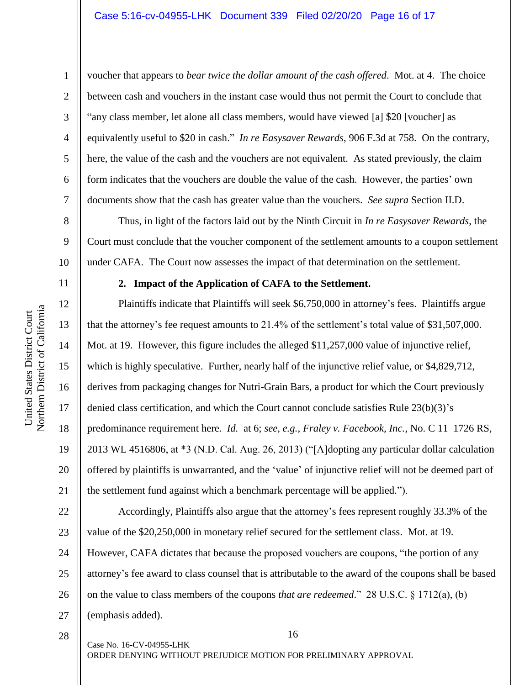voucher that appears to *bear twice the dollar amount of the cash offered*. Mot. at 4. The choice between cash and vouchers in the instant case would thus not permit the Court to conclude that "any class member, let alone all class members, would have viewed [a] \$20 [voucher] as equivalently useful to \$20 in cash." *In re Easysaver Rewards*, 906 F.3d at 758. On the contrary, here, the value of the cash and the vouchers are not equivalent. As stated previously, the claim form indicates that the vouchers are double the value of the cash. However, the parties' own documents show that the cash has greater value than the vouchers. *See supra* Section II.D.

Thus, in light of the factors laid out by the Ninth Circuit in *In re Easysaver Rewards*, the Court must conclude that the voucher component of the settlement amounts to a coupon settlement under CAFA. The Court now assesses the impact of that determination on the settlement.

11

1

2

3

4

5

6

7

8

9

10

12

13

14

15

16

17

18

19

20

21

# **2. Impact of the Application of CAFA to the Settlement.**

Plaintiffs indicate that Plaintiffs will seek \$6,750,000 in attorney's fees. Plaintiffs argue that the attorney's fee request amounts to 21.4% of the settlement's total value of \$31,507,000. Mot. at 19. However, this figure includes the alleged \$11,257,000 value of injunctive relief, which is highly speculative. Further, nearly half of the injunctive relief value, or \$4,829,712, derives from packaging changes for Nutri-Grain Bars, a product for which the Court previously denied class certification, and which the Court cannot conclude satisfies Rule 23(b)(3)'s predominance requirement here. *Id.* at 6; *see, e.g.*, *Fraley v. Facebook, Inc.*, No. C 11–1726 RS, 2013 WL 4516806, at \*3 (N.D. Cal. Aug. 26, 2013) ("[A]dopting any particular dollar calculation offered by plaintiffs is unwarranted, and the 'value' of injunctive relief will not be deemed part of the settlement fund against which a benchmark percentage will be applied.").

22 23 24 25 26 27 Accordingly, Plaintiffs also argue that the attorney's fees represent roughly 33.3% of the value of the \$20,250,000 in monetary relief secured for the settlement class. Mot. at 19. However, CAFA dictates that because the proposed vouchers are coupons, "the portion of any attorney's fee award to class counsel that is attributable to the award of the coupons shall be based on the value to class members of the coupons *that are redeemed*." 28 U.S.C. § 1712(a), (b) (emphasis added).

16

Northern District of California Northern District of California United States District Court United States District Court

28